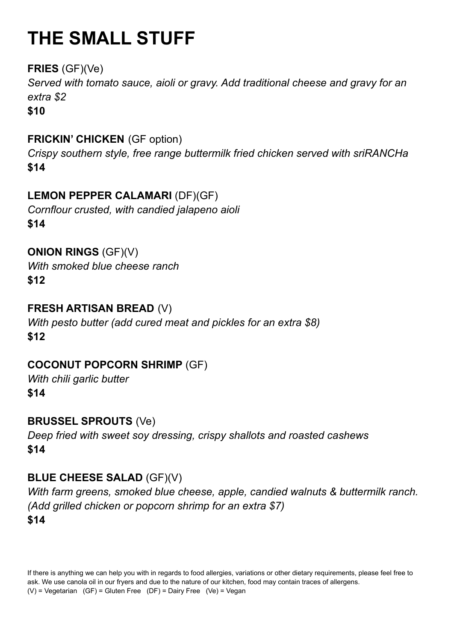# **THE SMALL STUFF**

## **FRIES** (GF)(Ve)

*Served with tomato sauce, aioli or gravy. Add traditional cheese and gravy for an extra \$2*

**\$10**

## **FRICKIN' CHICKEN** (GF option)

*Crispy southern style, free range buttermilk fried chicken served with sriRANCHa* **\$14**

## **LEMON PEPPER CALAMARI** (DF)(GF)

*Cornflour crusted, with candied jalapeno aioli* **\$14**

**ONION RINGS** (GF)(V)

*With smoked blue cheese ranch*

**\$12**

#### **FRESH ARTISAN BREAD** (V)

*With pesto butter (add cured meat and pickles for an extra \$8)* **\$12**

## **COCONUT POPCORN SHRIMP** (GF)

*With chili garlic butter* **\$14**

**BRUSSEL SPROUTS** (Ve) *Deep fried with sweet soy dressing, crispy shallots and roasted cashews* **\$14**

## **BLUE CHEESE SALAD** (GF)(V)

*With farm greens, smoked blue cheese, apple, candied walnuts & buttermilk ranch. (Add grilled chicken or popcorn shrimp for an extra \$7)* **\$14**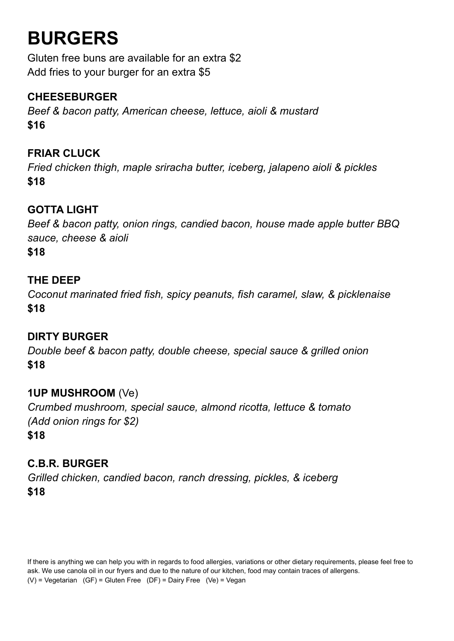## **BURGERS**

Gluten free buns are available for an extra \$2 Add fries to your burger for an extra \$5

## **CHEESEBURGER**

*Beef & bacon patty, American cheese, lettuce, aioli & mustard* **\$16**

#### **FRIAR CLUCK**

*Fried chicken thigh, maple sriracha butter, iceberg, jalapeno aioli & pickles* **\$18**

## **GOTTA LIGHT**

*Beef & bacon patty, onion rings, candied bacon, house made apple butter BBQ sauce, cheese & aioli* **\$18**

#### **THE DEEP**

*Coconut marinated fried fish, spicy peanuts, fish caramel, slaw, & picklenaise* **\$18**

#### **DIRTY BURGER**

*Double beef & bacon patty, double cheese, special sauce & grilled onion* **\$18**

#### **1UP MUSHROOM** (Ve)

*Crumbed mushroom, special sauce, almond ricotta, lettuce & tomato (Add onion rings for \$2)* **\$18**

#### **C.B.R. BURGER**

*Grilled chicken, candied bacon, ranch dressing, pickles, & iceberg* **\$18**

If there is anything we can help you with in regards to food allergies, variations or other dietary requirements, please feel free to ask. We use canola oil in our fryers and due to the nature of our kitchen, food may contain traces of allergens. (V) = Vegetarian (GF) = Gluten Free (DF) = Dairy Free (Ve) = Vegan